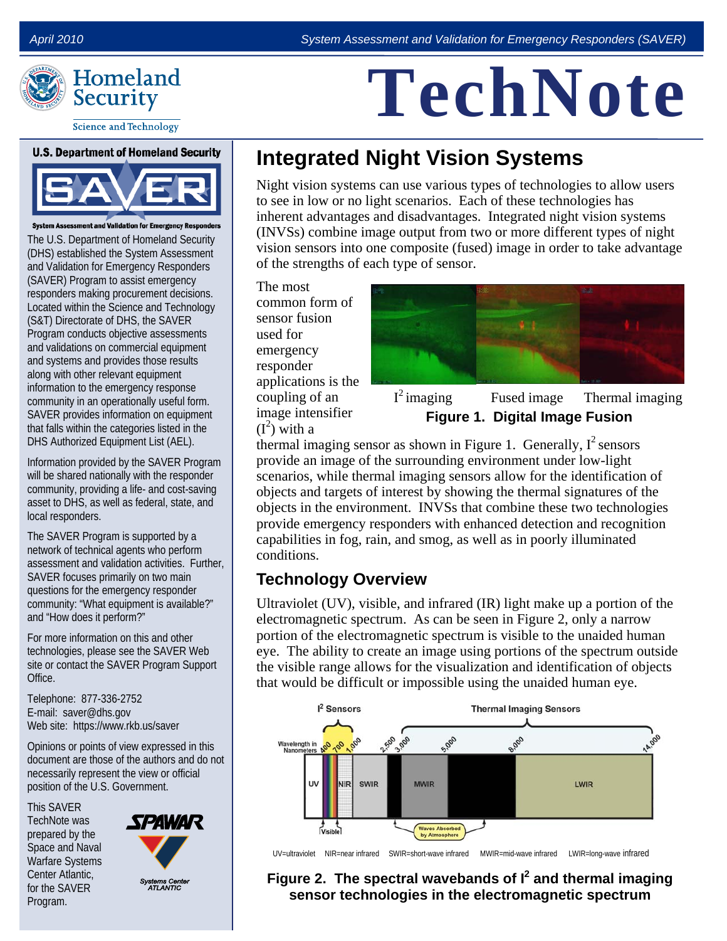

# **TechNote**

**Science and Technology** 

#### **U.S. Department of Homeland Security**



**System Assessment and Validation for Emergency Responder** 

The U.S. Department of Homeland Security (DHS) established the System Assessment and Validation for Emergency Responders (SAVER) Program to assist emergency responders making procurement decisions. Located within the Science and Technology (S&T) Directorate of DHS, the SAVER Program conducts objective assessments and validations on commercial equipment and systems and provides those results along with other relevant equipment information to the emergency response community in an operationally useful form. SAVER provides information on equipment that falls within the categories listed in the DHS Authorized Equipment List (AEL).

Information provided by the SAVER Program will be shared nationally with the responder community, providing a life- and cost-saving asset to DHS, as well as federal, state, and local responders.

The SAVER Program is supported by a network of technical agents who perform assessment and validation activities. Further, SAVER focuses primarily on two main questions for the emergency responder community: "What equipment is available?" and "How does it perform?"

For more information on this and other technologies, please see the SAVER Web site or contact the SAVER Program Support Office.

Telephone: 877-336-2752 E-mail: saver@dhs.gov Web site: https://www.rkb.us/saver

Opinions or points of view expressed in this document are those of the authors and do not necessarily represent the view or official position of the U.S. Government.

This SAVER TechNote was prepared by the Space and Naval Warfare Systems Center Atlantic, for the SAVER Program.



# **Integrated Night Vision Systems**

Night vision systems can use various types of technologies to allow users to see in low or no light scenarios. Each of these technologies has inherent advantages and disadvantages. Integrated night vision systems (INVSs) combine image output from two or more different types of night vision sensors into one composite (fused) image in order to take advantage of the strengths of each type of sensor.

The most common form of sensor fusion used for emergency responder applications is the coupling of an image intensifier  $(I^2)$  with a



Fused image Thermal imaging **Figure 1. Digital Image Fusion**   $I^2$  imaging

thermal imaging sensor as shown in Figure 1. Generally,  $I^2$  sensors provide an image of the surrounding environment under low-light scenarios, while thermal imaging sensors allow for the identification of objects and targets of interest by showing the thermal signatures of the objects in the environment. INVSs that combine these two technologies provide emergency responders with enhanced detection and recognition capabilities in fog, rain, and smog, as well as in poorly illuminated conditions.

#### **Technology Overview**

Ultraviolet (UV), visible, and infrared (IR) light make up a portion of the electromagnetic spectrum. As can be seen in Figure 2, only a narrow portion of the electromagnetic spectrum is visible to the unaided human eye. The ability to create an image using portions of the spectrum outside the visible range allows for the visualization and identification of objects that would be difficult or impossible using the unaided human eye.



UV=ultraviolet NIR=near infrared SWIR=short-wave infrared MWIR=mid-wave infrared LWIR=long-wave infrared

#### Figure 2. The spectral wavebands of I<sup>2</sup> and thermal imaging **sensor technologies in the electromagnetic spectrum**